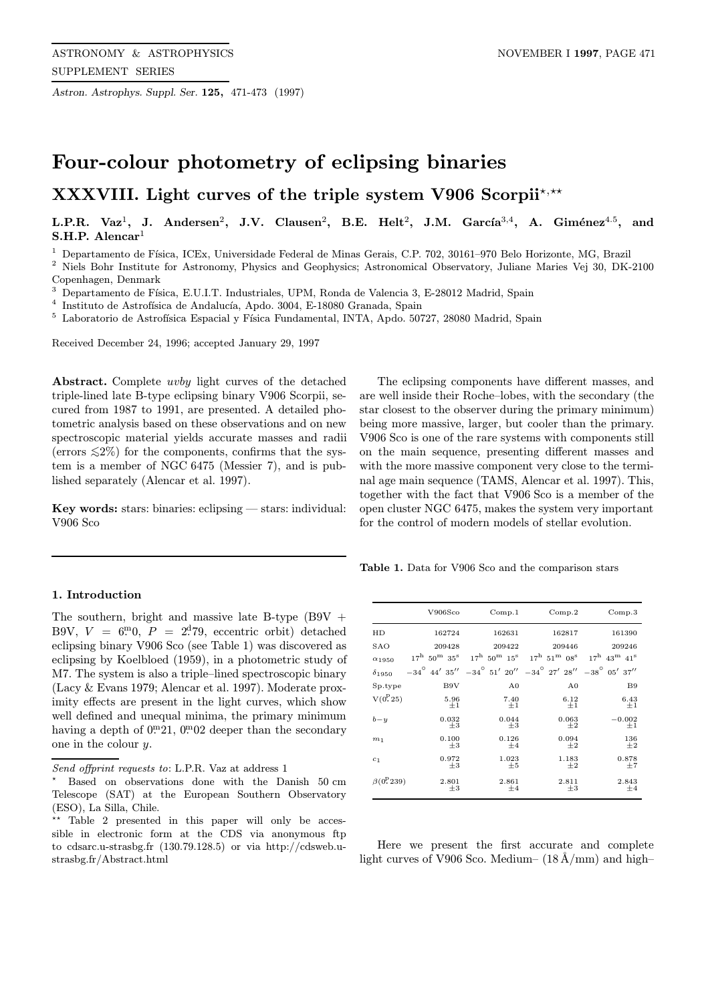Astron. Astrophys. Suppl. Ser. 125, 471-473 (1997)

## Four-colour photometry of eclipsing binaries

# XXXVIII. Light curves of the triple system V906 Scorpii\*,\*\*

L.P.R. Vaz<sup>1</sup>, J. Andersen<sup>2</sup>, J.V. Clausen<sup>2</sup>, B.E. Helt<sup>2</sup>, J.M. García<sup>3,4</sup>, A. Giménez<sup>4.5</sup>, and S.H.P. Alencar<sup>1</sup>

<sup>1</sup> Departamento de Física, ICEx, Universidade Federal de Minas Gerais, C.P. 702, 30161-970 Belo Horizonte, MG, Brazil

<sup>2</sup> Niels Bohr Institute for Astronomy, Physics and Geophysics; Astronomical Observatory, Juliane Maries Vej 30, DK-2100 Copenhagen, Denmark

<sup>3</sup> Departamento de Física, E.U.I.T. Industriales, UPM, Ronda de Valencia 3, E-28012 Madrid, Spain

 $^4\,$ Instituto de Astrofísica de Andalucía, Apdo. 3004, E-18080 Granada, Spain

<sup>5</sup> Laboratorio de Astrofísica Espacial y Física Fundamental, INTA, Apdo. 50727, 28080 Madrid, Spain

Received December 24, 1996; accepted January 29, 1997

Abstract. Complete uvby light curves of the detached triple-lined late B-type eclipsing binary V906 Scorpii, secured from 1987 to 1991, are presented. A detailed photometric analysis based on these observations and on new spectroscopic material yields accurate masses and radii (errors  $\leq 2\%$ ) for the components, confirms that the system is a member of NGC 6475 (Messier 7), and is published separately (Alencar et al. 1997).

Key words: stars: binaries: eclipsing — stars: individual: V906 Sco

#### 1. Introduction

The southern, bright and massive late B-type  $(B9V +$ B9V,  $V = 6.0$ ,  $P = 2^{d}79$ , eccentric orbit) detached eclipsing binary V906 Sco (see Table 1) was discovered as eclipsing by Koelbloed (1959), in a photometric study of M7. The system is also a triple–lined spectroscopic binary (Lacy & Evans 1979; Alencar et al. 1997). Moderate proximity effects are present in the light curves, which show well defined and unequal minima, the primary minimum having a depth of  $0^{\text{m}}21$ ,  $0^{\text{m}}02$  deeper than the secondary one in the colour y.

The eclipsing components have different masses, and are well inside their Roche–lobes, with the secondary (the star closest to the observer during the primary minimum) being more massive, larger, but cooler than the primary. V906 Sco is one of the rare systems with components still on the main sequence, presenting different masses and with the more massive component very close to the terminal age main sequence (TAMS, Alencar et al. 1997). This, together with the fact that V906 Sco is a member of the open cluster NGC 6475, makes the system very important for the control of modern models of stellar evolution.

Table 1. Data for V906 Sco and the comparison stars

|                       | V906Sco                                      | Comp.1                                                                                      | Comp.2                                       | Comp.3                                    |
|-----------------------|----------------------------------------------|---------------------------------------------------------------------------------------------|----------------------------------------------|-------------------------------------------|
| HD                    | 162724                                       | 162631                                                                                      | 162817                                       | 161390                                    |
| SAO                   | 209428                                       | 209422                                                                                      | 209446                                       | 209246                                    |
| $\alpha_{1950}$       | $17^{\rm h}$ 50 <sup>m</sup> 35 <sup>s</sup> | $17^{\rm h}$ 50 <sup>m</sup> $15^{\rm s}$                                                   | $17^{\rm h}$ 51 <sup>m</sup> 08 <sup>s</sup> | $17^{\rm h}$ 43 <sup>m</sup> $41^{\rm s}$ |
| $\delta_{1950}$       |                                              | $-34^{\circ}$ 44' 35'' $-34^{\circ}$ 51' 20'' $-34^{\circ}$ 27' 28'' $-38^{\circ}$ 05' 37'' |                                              |                                           |
| Sp.type               | B9V                                          | A <sub>0</sub>                                                                              | A <sub>0</sub>                               | B <sub>9</sub>                            |
| $V(0^{P}25)$          | 5.96<br>$\pm 1$                              | 7.40<br>$\pm 1$                                                                             | 6.12<br>$\pm 1$                              | 6.43<br>$\pm 1$                           |
| $b - y$               | 0.032<br>$+3$                                | 0.044<br>$+3$                                                                               | 0.063<br>$+2$                                | $-0.002$<br>$\pm 1$                       |
| m <sub>1</sub>        | 0.100<br>$+3$                                | 0.126<br>$+4$                                                                               | 0.094<br>$+2$                                | 136<br>$+2$                               |
| c <sub>1</sub>        | 0.972<br>$+3$                                | 1.023<br>$+5$                                                                               | 1.183<br>$+2$                                | 0.878<br>$+7$                             |
| $\beta(0^{\rm P}239)$ | 2.801<br>$_{\pm 3}$                          | 2.861<br>$\pm 4$                                                                            | 2.811<br>$\pm 3$                             | 2.843<br>$\pm 4$                          |

Here we present the first accurate and complete light curves of V906 Sco. Medium–  $(18 \text{ Å/mm})$  and high–

Send offprint requests to: L.P.R. Vaz at address 1

<sup>?</sup> Based on observations done with the Danish 50 cm Telescope (SAT) at the European Southern Observatory (ESO), La Silla, Chile.

<sup>\*\*</sup> Table 2 presented in this paper will only be accessible in electronic form at the CDS via anonymous ftp to cdsarc.u-strasbg.fr (130.79.128.5) or via http://cdsweb.ustrasbg.fr/Abstract.html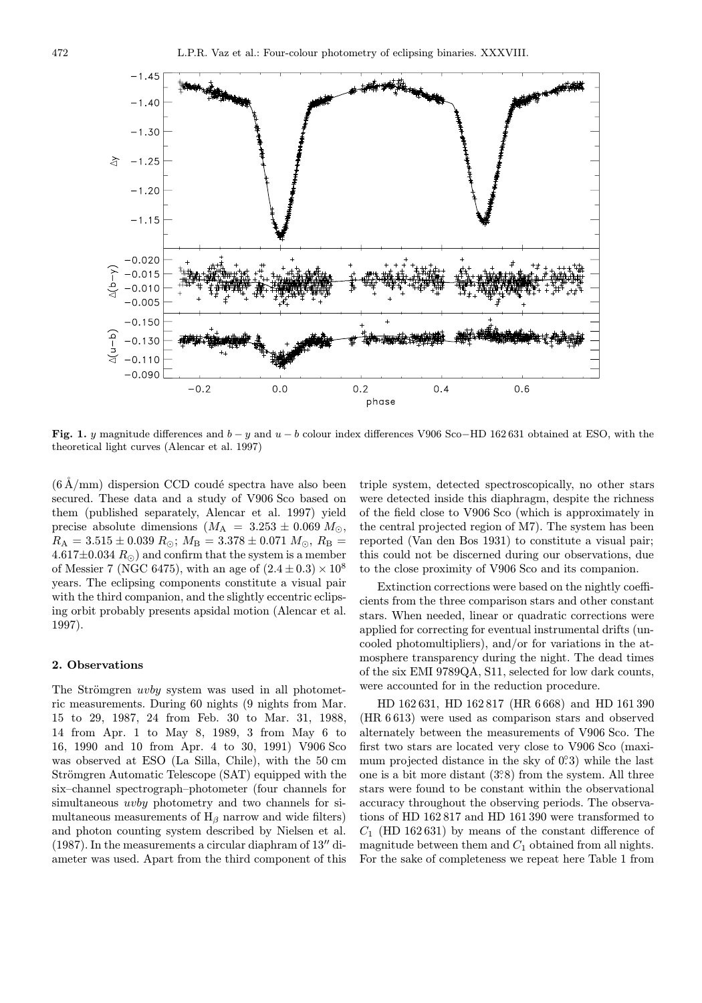

Fig. 1. y magnitude differences and  $b - y$  and  $u - b$  colour index differences V906 Sco–HD 162 631 obtained at ESO, with the theoretical light curves (Alencar et al. 1997)

 $(6 \text{ Å/mm})$  dispersion CCD coudé spectra have also been secured. These data and a study of V906 Sco based on them (published separately, Alencar et al. 1997) yield precise absolute dimensions  $(M_A = 3.253 \pm 0.069 M_{\odot},$  $R_{\rm A} = 3.515 \pm 0.039 R_{\odot}$ ;  $M_{\rm B} = 3.378 \pm 0.071 M_{\odot}$ ,  $R_{\rm B} =$  $4.617\pm0.034~R_{\odot}$  and confirm that the system is a member of Messier 7 (NGC 6475), with an age of  $(2.4 \pm 0.3) \times 10^8$ years. The eclipsing components constitute a visual pair with the third companion, and the slightly eccentric eclipsing orbit probably presents apsidal motion (Alencar et al. 1997).

### 2. Observations

The Strömgren *uvby* system was used in all photometric measurements. During 60 nights (9 nights from Mar. 15 to 29, 1987, 24 from Feb. 30 to Mar. 31, 1988, 14 from Apr. 1 to May 8, 1989, 3 from May 6 to 16, 1990 and 10 from Apr. 4 to 30, 1991) V906 Sco was observed at ESO (La Silla, Chile), with the 50 cm Strömgren Automatic Telescope (SAT) equipped with the six–channel spectrograph–photometer (four channels for simultaneous *uvby* photometry and two channels for simultaneous measurements of  $H_\beta$  narrow and wide filters) and photon counting system described by Nielsen et al.  $(1987)$ . In the measurements a circular diaphram of  $13''$  diameter was used. Apart from the third component of this

triple system, detected spectroscopically, no other stars were detected inside this diaphragm, despite the richness of the field close to V906 Sco (which is approximately in the central projected region of M7). The system has been reported (Van den Bos 1931) to constitute a visual pair; this could not be discerned during our observations, due to the close proximity of V906 Sco and its companion.

Extinction corrections were based on the nightly coefficients from the three comparison stars and other constant stars. When needed, linear or quadratic corrections were applied for correcting for eventual instrumental drifts (uncooled photomultipliers), and/or for variations in the atmosphere transparency during the night. The dead times of the six EMI 9789QA, S11, selected for low dark counts, were accounted for in the reduction procedure.

HD 162 631, HD 162 817 (HR 6 668) and HD 161 390 (HR 6 613) were used as comparison stars and observed alternately between the measurements of V906 Sco. The first two stars are located very close to V906 Sco (maximum projected distance in the sky of  $0.3$ ) while the last one is a bit more distant  $(3°8)$  from the system. All three stars were found to be constant within the observational accuracy throughout the observing periods. The observations of HD 162 817 and HD 161 390 were transformed to  $C_1$  (HD 162631) by means of the constant difference of magnitude between them and  $C_1$  obtained from all nights. For the sake of completeness we repeat here Table 1 from